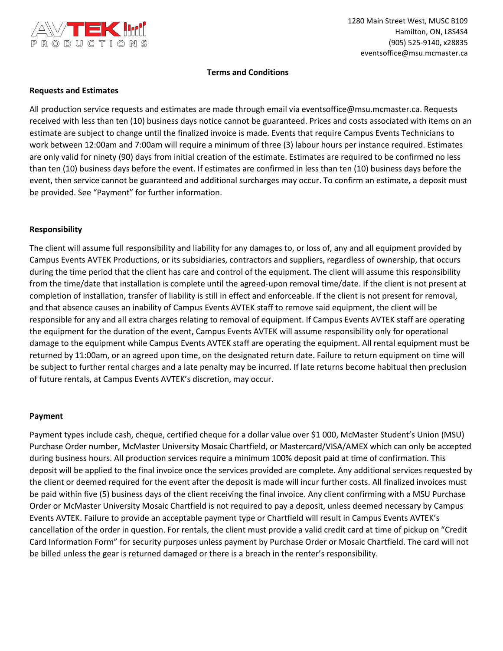

### **Terms and Conditions**

### **Requests and Estimates**

All production service requests and estimates are made through email via eventsoffice@msu.mcmaster.ca. Requests received with less than ten (10) business days notice cannot be guaranteed. Prices and costs associated with items on an estimate are subject to change until the finalized invoice is made. Events that require Campus Events Technicians to work between 12:00am and 7:00am will require a minimum of three (3) labour hours per instance required. Estimates are only valid for ninety (90) days from initial creation of the estimate. Estimates are required to be confirmed no less than ten (10) business days before the event. If estimates are confirmed in less than ten (10) business days before the event, then service cannot be guaranteed and additional surcharges may occur. To confirm an estimate, a deposit must be provided. See "Payment" for further information.

### **Responsibility**

The client will assume full responsibility and liability for any damages to, or loss of, any and all equipment provided by Campus Events AVTEK Productions, or its subsidiaries, contractors and suppliers, regardless of ownership, that occurs during the time period that the client has care and control of the equipment. The client will assume this responsibility from the time/date that installation is complete until the agreed-upon removal time/date. If the client is not present at completion of installation, transfer of liability is still in effect and enforceable. If the client is not present for removal, and that absence causes an inability of Campus Events AVTEK staff to remove said equipment, the client will be responsible for any and all extra charges relating to removal of equipment. If Campus Events AVTEK staff are operating the equipment for the duration of the event, Campus Events AVTEK will assume responsibility only for operational damage to the equipment while Campus Events AVTEK staff are operating the equipment. All rental equipment must be returned by 11:00am, or an agreed upon time, on the designated return date. Failure to return equipment on time will be subject to further rental charges and a late penalty may be incurred. If late returns become habitual then preclusion of future rentals, at Campus Events AVTEK's discretion, may occur.

#### **Payment**

Payment types include cash, cheque, certified cheque for a dollar value over \$1 000, McMaster Student's Union (MSU) Purchase Order number, McMaster University Mosaic Chartfield, or Mastercard/VISA/AMEX which can only be accepted during business hours. All production services require a minimum 100% deposit paid at time of confirmation. This deposit will be applied to the final invoice once the services provided are complete. Any additional services requested by the client or deemed required for the event after the deposit is made will incur further costs. All finalized invoices must be paid within five (5) business days of the client receiving the final invoice. Any client confirming with a MSU Purchase Order or McMaster University Mosaic Chartfield is not required to pay a deposit, unless deemed necessary by Campus Events AVTEK. Failure to provide an acceptable payment type or Chartfield will result in Campus Events AVTEK's cancellation of the order in question. For rentals, the client must provide a valid credit card at time of pickup on "Credit Card Information Form" for security purposes unless payment by Purchase Order or Mosaic Chartfield. The card will not be billed unless the gear is returned damaged or there is a breach in the renter's responsibility.